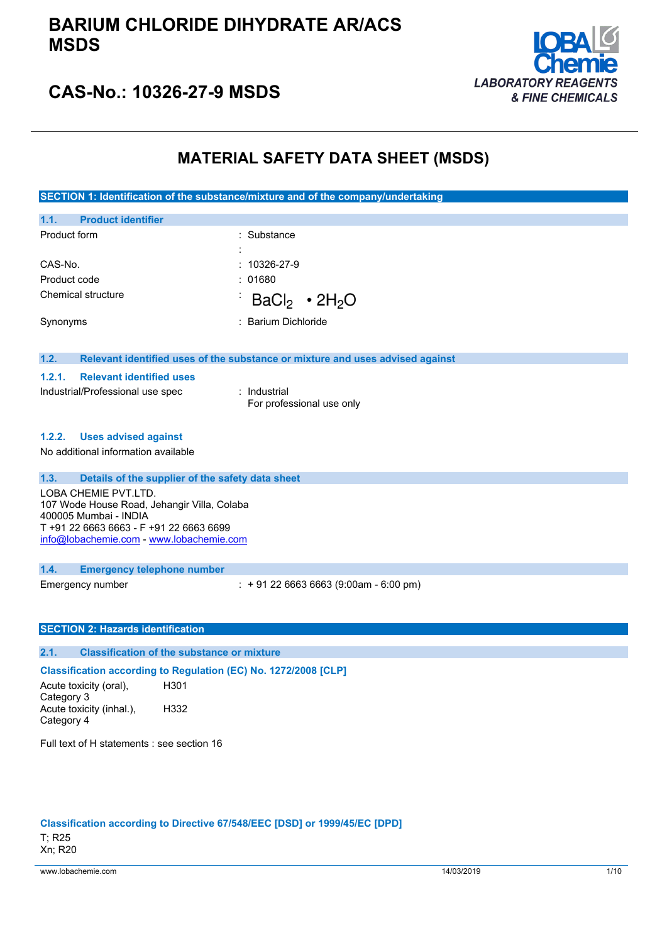

### **CAS-No.: 10326-27-9 MSDS**

### **MATERIAL SAFETY DATA SHEET (MSDS)**

**SECTION 1: Identification of the substance/mixture and of the company/undertaking**

| 1.1.<br><b>Product Identifier</b> |                     |  |
|-----------------------------------|---------------------|--|
| Product form                      | : Substance         |  |
|                                   | ٠<br>$\cdot$        |  |
| CAS-No.                           | $: 10326 - 27 - 9$  |  |
| Product code                      | : 01680             |  |
| Chemical structure                | $BaCl2 \cdot 2H2O$  |  |
| Synonyms                          | : Barium Dichloride |  |
|                                   |                     |  |

#### **1.2. Relevant identified uses of the substance or mixture and uses advised against**

#### **1.2.1. Relevant identified uses**

Industrial/Professional use spec : Industrial

**1.1. Product identifier**

For professional use only

#### **1.2.2. Uses advised against**

No additional information available

### **1.3. Details of the supplier of the safety data sheet**

LOBA CHEMIE PVT.LTD. 107 Wode House Road, Jehangir Villa, Colaba 400005 Mumbai - INDIA T +91 22 6663 6663 - F +91 22 6663 6699 [info@lobachemie.com](mailto:info@lobachemie.com) - <www.lobachemie.com>

### **1.4. Emergency telephone number**

Emergency number : + 91 22 6663 6663 (9:00am - 6:00 pm)

### **SECTION 2: Hazards identification**

### **2.1. Classification of the substance or mixture**

### **Classification according to Regulation (EC) No. 1272/2008 [CLP]**

Acute toxicity (oral), Category 3 H301 Acute toxicity (inhal.), Category 4 H332

Full text of H statements : see section 16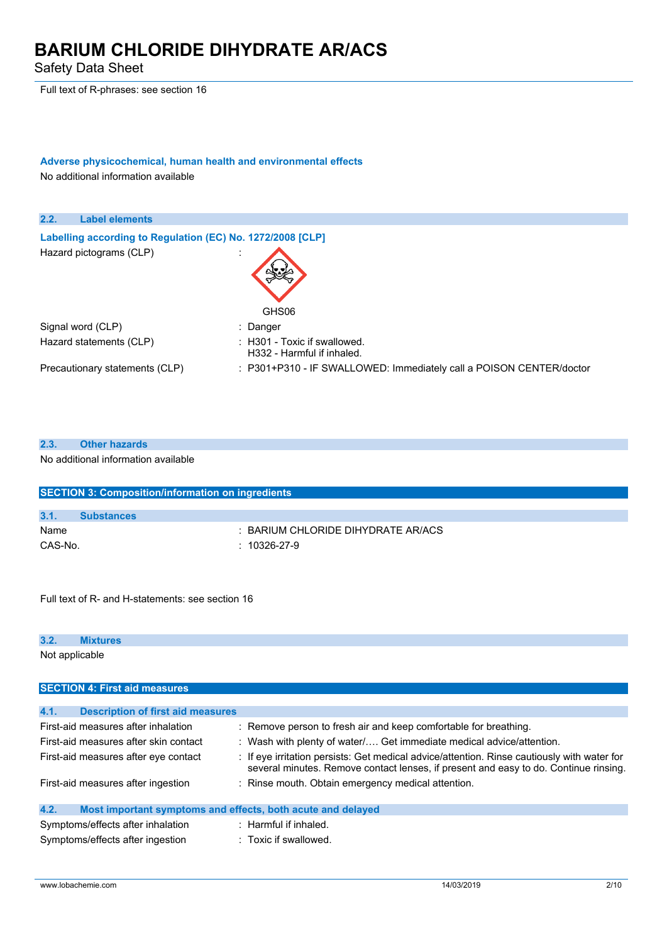Safety Data Sheet

Full text of R-phrases: see section 16

### **Adverse physicochemical, human health and environmental effects** No additional information available

**2.2. Label elements Labelling according to** Regulation (EC) No. 1272/2008 [CLP] Hazard pictograms (CLP) in the state of the state of the state of the state of the state of the state of the state of the state of the state of the state of the state of the state of the state of the state of the state of GHS06 Signal word (CLP) : Danger Hazard statements (CLP) : H301 - Toxic if swallowed. H332 - Harmful if inhaled. Precautionary statements (CLP) : P301+P310 - IF SWALLOWED: Immediately call a POISON CENTER/doctor

| 2.3. | <b>Other hazards</b>                |
|------|-------------------------------------|
|      | No additional information available |

| <b>SECTION 3: Composition/information on ingredients</b> |                                  |  |
|----------------------------------------------------------|----------------------------------|--|
|                                                          |                                  |  |
| 3.1.                                                     | <b>Substances</b>                |  |
| Name                                                     | BARIUM CHLORIDE DIHYDRATE AR/ACS |  |
| CAS-No.                                                  | $: 10326-27-9$                   |  |

Full text of R- and H-statements: see section 16

| 3.2            |  |  |  |  |
|----------------|--|--|--|--|
| Not applicable |  |  |  |  |

| <b>SECTION 4: First aid measures</b>                                |                                                                                                                                                                                     |
|---------------------------------------------------------------------|-------------------------------------------------------------------------------------------------------------------------------------------------------------------------------------|
|                                                                     |                                                                                                                                                                                     |
| 4.1.<br><b>Description of first aid measures</b>                    |                                                                                                                                                                                     |
| First-aid measures after inhalation                                 | : Remove person to fresh air and keep comfortable for breathing.                                                                                                                    |
| First-aid measures after skin contact                               | : Wash with plenty of water $/$ Get immediate medical advice/attention.                                                                                                             |
| First-aid measures after eye contact                                | : If eye irritation persists: Get medical advice/attention. Rinse cautiously with water for<br>several minutes. Remove contact lenses, if present and easy to do. Continue rinsing. |
| First-aid measures after ingestion                                  | : Rinse mouth. Obtain emergency medical attention.                                                                                                                                  |
| 4.2.<br>Most important symptoms and effects, both acute and delayed |                                                                                                                                                                                     |
| Symptoms/effects after inhalation                                   | $:$ Harmful if inhaled.                                                                                                                                                             |
| Symptoms/effects after ingestion                                    | : Toxic if swallowed.                                                                                                                                                               |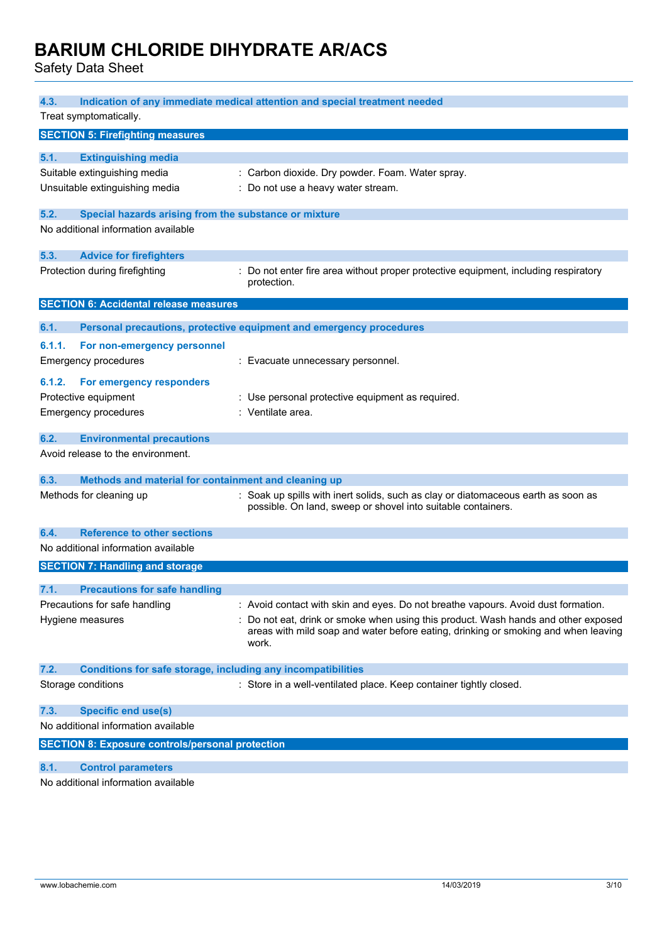Safety Data Sheet

| 4.3.<br>Treat symptomatically.                                                                                                                                        | Indication of any immediate medical attention and special treatment needed                                                                                                                                                                                           |
|-----------------------------------------------------------------------------------------------------------------------------------------------------------------------|----------------------------------------------------------------------------------------------------------------------------------------------------------------------------------------------------------------------------------------------------------------------|
| <b>SECTION 5: Firefighting measures</b>                                                                                                                               |                                                                                                                                                                                                                                                                      |
| 5.1.<br><b>Extinguishing media</b><br>Suitable extinguishing media<br>Unsuitable extinguishing media<br>5.2.<br>Special hazards arising from the substance or mixture | : Carbon dioxide. Dry powder. Foam. Water spray.<br>: Do not use a heavy water stream.                                                                                                                                                                               |
| No additional information available                                                                                                                                   |                                                                                                                                                                                                                                                                      |
| 5.3.<br><b>Advice for firefighters</b>                                                                                                                                |                                                                                                                                                                                                                                                                      |
| Protection during firefighting                                                                                                                                        | : Do not enter fire area without proper protective equipment, including respiratory<br>protection.                                                                                                                                                                   |
| <b>SECTION 6: Accidental release measures</b>                                                                                                                         |                                                                                                                                                                                                                                                                      |
| 6.1.                                                                                                                                                                  | Personal precautions, protective equipment and emergency procedures                                                                                                                                                                                                  |
| 6.1.1.<br>For non-emergency personnel<br><b>Emergency procedures</b>                                                                                                  | : Evacuate unnecessary personnel.                                                                                                                                                                                                                                    |
| For emergency responders<br>6.1.2.<br>Protective equipment<br><b>Emergency procedures</b>                                                                             | : Use personal protective equipment as required.<br>: Ventilate area.                                                                                                                                                                                                |
| 6.2.<br><b>Environmental precautions</b>                                                                                                                              |                                                                                                                                                                                                                                                                      |
| Avoid release to the environment.                                                                                                                                     |                                                                                                                                                                                                                                                                      |
| 6.3.<br>Methods and material for containment and cleaning up                                                                                                          |                                                                                                                                                                                                                                                                      |
| Methods for cleaning up                                                                                                                                               | : Soak up spills with inert solids, such as clay or diatomaceous earth as soon as<br>possible. On land, sweep or shovel into suitable containers.                                                                                                                    |
| <b>Reference to other sections</b><br>6.4.                                                                                                                            |                                                                                                                                                                                                                                                                      |
| No additional information available                                                                                                                                   |                                                                                                                                                                                                                                                                      |
| <b>SECTION 7: Handling and storage</b>                                                                                                                                |                                                                                                                                                                                                                                                                      |
| 7.1.<br><b>Precautions for safe handling</b>                                                                                                                          |                                                                                                                                                                                                                                                                      |
| Precautions for safe handling<br>Hygiene measures                                                                                                                     | : Avoid contact with skin and eyes. Do not breathe vapours. Avoid dust formation.<br>Do not eat, drink or smoke when using this product. Wash hands and other exposed<br>areas with mild soap and water before eating, drinking or smoking and when leaving<br>work. |
| 7.2.<br><b>Conditions for safe storage, including any incompatibilities</b>                                                                                           |                                                                                                                                                                                                                                                                      |
| Storage conditions                                                                                                                                                    | : Store in a well-ventilated place. Keep container tightly closed.                                                                                                                                                                                                   |
| 7.3.<br><b>Specific end use(s)</b><br>No additional information available                                                                                             |                                                                                                                                                                                                                                                                      |
| <b>SECTION 8: Exposure controls/personal protection</b>                                                                                                               |                                                                                                                                                                                                                                                                      |
|                                                                                                                                                                       |                                                                                                                                                                                                                                                                      |
| 8.1.<br><b>Control parameters</b><br>No additional information available                                                                                              |                                                                                                                                                                                                                                                                      |
|                                                                                                                                                                       |                                                                                                                                                                                                                                                                      |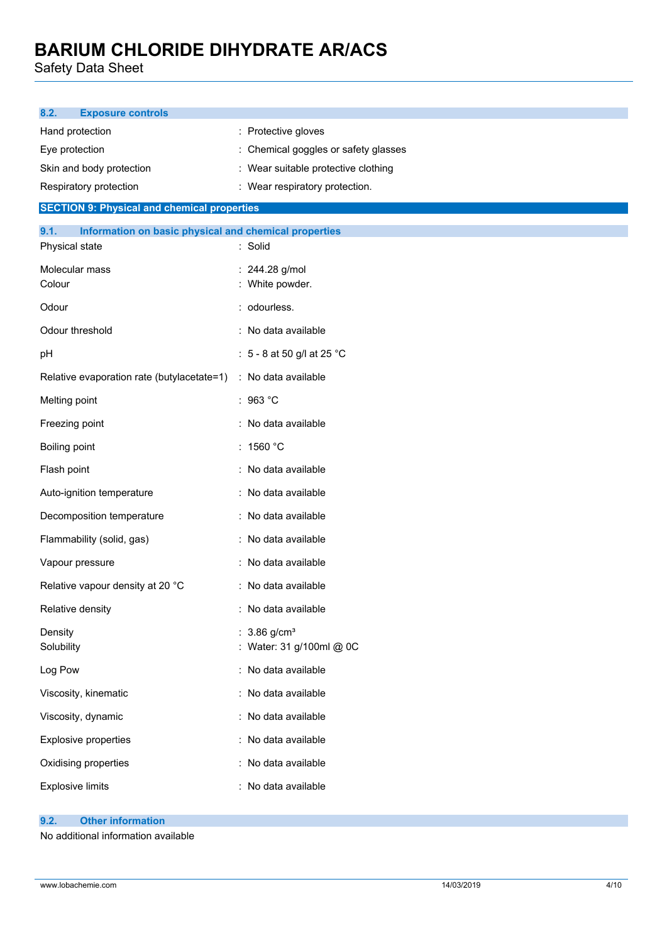Safety Data Sheet

| <b>Exposure controls</b><br>8.2.                                                |                                                        |
|---------------------------------------------------------------------------------|--------------------------------------------------------|
| Hand protection                                                                 | : Protective gloves                                    |
| Eye protection                                                                  | : Chemical goggles or safety glasses                   |
| Skin and body protection                                                        | : Wear suitable protective clothing                    |
| Respiratory protection                                                          | : Wear respiratory protection.                         |
| <b>SECTION 9: Physical and chemical properties</b>                              |                                                        |
| 9.1.<br>Information on basic physical and chemical properties<br>Physical state | : Solid                                                |
| Molecular mass                                                                  | : 244.28 g/mol                                         |
| Colour                                                                          | : White powder.                                        |
| Odour                                                                           | : odourless.                                           |
| Odour threshold                                                                 | : No data available                                    |
| pH                                                                              | : 5 - 8 at 50 g/l at 25 °C                             |
| Relative evaporation rate (butylacetate=1)                                      | : No data available                                    |
| Melting point                                                                   | : 963 °C                                               |
| Freezing point                                                                  | No data available                                      |
| Boiling point                                                                   | : 1560 °C                                              |
| Flash point                                                                     | : No data available                                    |
| Auto-ignition temperature                                                       | : No data available                                    |
| Decomposition temperature                                                       | : No data available                                    |
| Flammability (solid, gas)                                                       | : No data available                                    |
| Vapour pressure                                                                 | No data available                                      |
| Relative vapour density at 20 °C                                                | : No data available                                    |
| Relative density                                                                | : No data available                                    |
| Density<br>Solubility                                                           | : $3.86$ g/cm <sup>3</sup><br>: Water: 31 g/100ml @ 0C |
| Log Pow                                                                         | : No data available                                    |
| Viscosity, kinematic                                                            | : No data available                                    |
| Viscosity, dynamic                                                              | No data available                                      |
| <b>Explosive properties</b>                                                     | : No data available                                    |
| Oxidising properties                                                            | No data available                                      |
| <b>Explosive limits</b>                                                         | No data available                                      |

### **9.2. Other information**

No additional information available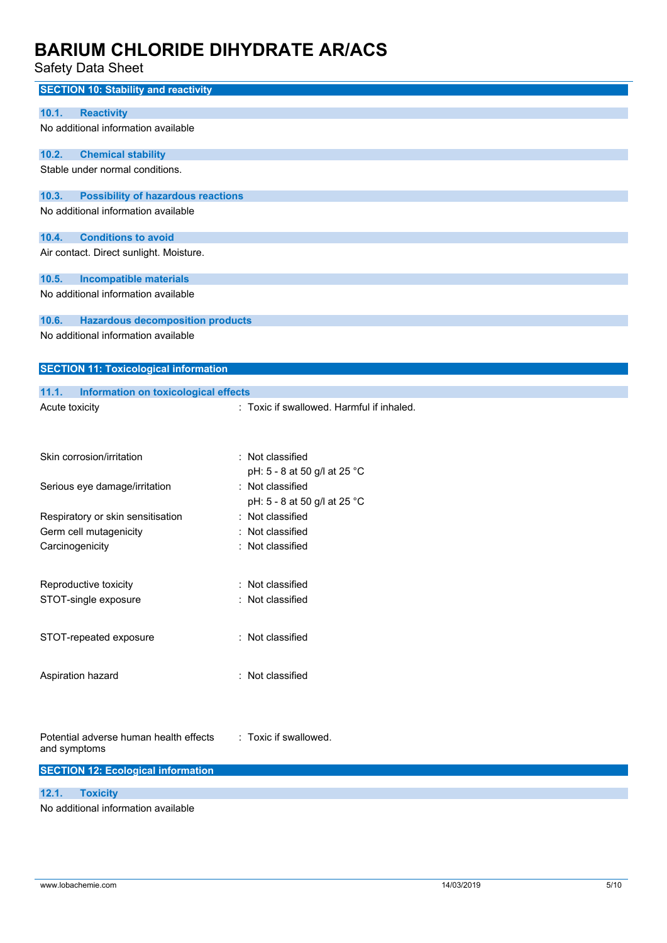Safety Data Sheet

| <b>SECTION 10: Stability and reactivity</b>                                               |                                           |
|-------------------------------------------------------------------------------------------|-------------------------------------------|
|                                                                                           |                                           |
| 10.1.<br><b>Reactivity</b><br>No additional information available                         |                                           |
|                                                                                           |                                           |
| 10.2.<br><b>Chemical stability</b>                                                        |                                           |
| Stable under normal conditions.                                                           |                                           |
|                                                                                           |                                           |
| <b>Possibility of hazardous reactions</b><br>10.3.<br>No additional information available |                                           |
|                                                                                           |                                           |
| <b>Conditions to avoid</b><br>10.4.                                                       |                                           |
| Air contact. Direct sunlight. Moisture.                                                   |                                           |
|                                                                                           |                                           |
| 10.5.<br><b>Incompatible materials</b>                                                    |                                           |
| No additional information available                                                       |                                           |
| 10.6.<br><b>Hazardous decomposition products</b>                                          |                                           |
| No additional information available                                                       |                                           |
|                                                                                           |                                           |
| <b>SECTION 11: Toxicological information</b>                                              |                                           |
|                                                                                           |                                           |
| 11.1.<br><b>Information on toxicological effects</b>                                      |                                           |
| Acute toxicity                                                                            | : Toxic if swallowed. Harmful if inhaled. |
|                                                                                           |                                           |
|                                                                                           |                                           |
| Skin corrosion/irritation                                                                 | : Not classified                          |
|                                                                                           | pH: 5 - 8 at 50 g/l at 25 °C              |
| Serious eye damage/irritation                                                             | : Not classified                          |
|                                                                                           | pH: 5 - 8 at 50 g/l at 25 °C              |
| Respiratory or skin sensitisation                                                         | : Not classified                          |
| Germ cell mutagenicity                                                                    | Not classified                            |
| Carcinogenicity                                                                           | : Not classified                          |
|                                                                                           |                                           |
| Reproductive toxicity                                                                     | Not classified                            |
| STOT-single exposure                                                                      | Not classified                            |
|                                                                                           |                                           |
| STOT-repeated exposure                                                                    | : Not classified                          |
|                                                                                           |                                           |
|                                                                                           |                                           |
| Aspiration hazard                                                                         | : Not classified                          |
|                                                                                           |                                           |
|                                                                                           |                                           |
|                                                                                           |                                           |
| Potential adverse human health effects<br>and symptoms                                    | : Toxic if swallowed.                     |
|                                                                                           |                                           |
| <b>SECTION 12: Ecological information</b>                                                 |                                           |
| <b>Toxicity</b><br>12.1.                                                                  |                                           |
| No additional information available                                                       |                                           |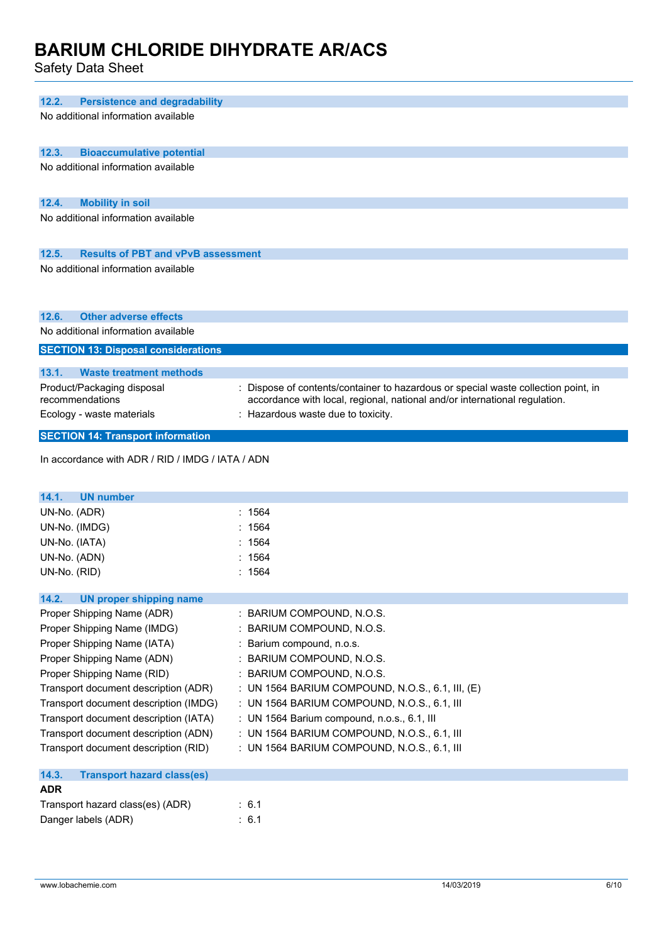Safety Data Sheet

| 12.2.<br><b>Persistence and degradability</b>            |                                                                                  |
|----------------------------------------------------------|----------------------------------------------------------------------------------|
| No additional information available                      |                                                                                  |
| 12.3.<br><b>Bioaccumulative potential</b>                |                                                                                  |
| No additional information available                      |                                                                                  |
|                                                          |                                                                                  |
| 12.4.<br><b>Mobility in soil</b>                         |                                                                                  |
| No additional information available                      |                                                                                  |
|                                                          |                                                                                  |
| 12.5.<br><b>Results of PBT and vPvB assessment</b>       |                                                                                  |
| No additional information available                      |                                                                                  |
|                                                          |                                                                                  |
|                                                          |                                                                                  |
| <b>Other adverse effects</b><br>12.6.                    |                                                                                  |
| No additional information available                      |                                                                                  |
| <b>SECTION 13: Disposal considerations</b>               |                                                                                  |
| 13.1.<br><b>Waste treatment methods</b>                  |                                                                                  |
| Product/Packaging disposal                               | Dispose of contents/container to hazardous or special waste collection point, in |
| recommendations                                          | accordance with local, regional, national and/or international regulation.       |
| Ecology - waste materials                                | : Hazardous waste due to toxicity.                                               |
| <b>SECTION 14: Transport information</b>                 |                                                                                  |
|                                                          |                                                                                  |
| In accordance with ADR / RID / IMDG / IATA / ADN         |                                                                                  |
|                                                          |                                                                                  |
|                                                          |                                                                                  |
| 14.1.<br><b>UN number</b>                                |                                                                                  |
| UN-No. (ADR)                                             | 1564                                                                             |
| UN-No. (IMDG)                                            | 1564                                                                             |
| UN-No. (IATA)                                            | 1564                                                                             |
| UN-No. (ADN)                                             | 1564                                                                             |
| UN-No. (RID)                                             | : 1564                                                                           |
|                                                          |                                                                                  |
| 14.2.<br><b>UN proper shipping name</b>                  |                                                                                  |
| Proper Shipping Name (ADR)                               | : BARIUM COMPOUND, N.O.S.                                                        |
| Proper Shipping Name (IMDG)                              | : BARIUM COMPOUND, N.O.S.                                                        |
| Proper Shipping Name (IATA)                              | Barium compound, n.o.s.                                                          |
| Proper Shipping Name (ADN)<br>Proper Shipping Name (RID) | BARIUM COMPOUND, N.O.S.<br>BARIUM COMPOUND, N.O.S.                               |
| Transport document description (ADR)                     | : UN 1564 BARIUM COMPOUND, N.O.S., 6.1, III, (E)                                 |
| Transport document description (IMDG)                    | : UN 1564 BARIUM COMPOUND, N.O.S., 6.1, III                                      |
| Transport document description (IATA)                    | : UN 1564 Barium compound, n.o.s., 6.1, III                                      |
| Transport document description (ADN)                     | : UN 1564 BARIUM COMPOUND, N.O.S., 6.1, III                                      |
| Transport document description (RID)                     | : UN 1564 BARIUM COMPOUND, N.O.S., 6.1, III                                      |
|                                                          |                                                                                  |
| 14.3.<br><b>Transport hazard class(es)</b>               |                                                                                  |
| <b>ADR</b>                                               |                                                                                  |
| Transport hazard class(es) (ADR)<br>Danger labels (ADR)  | : 6.1<br>: 6.1                                                                   |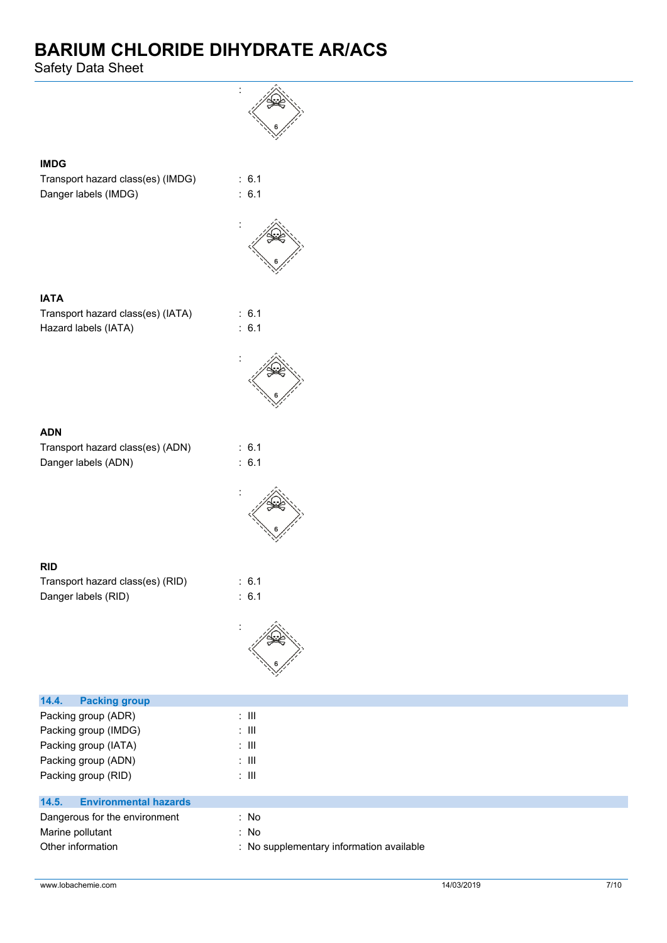Safety Data Sheet

**IMDG**

**IATA**

**ADN**

**RID**

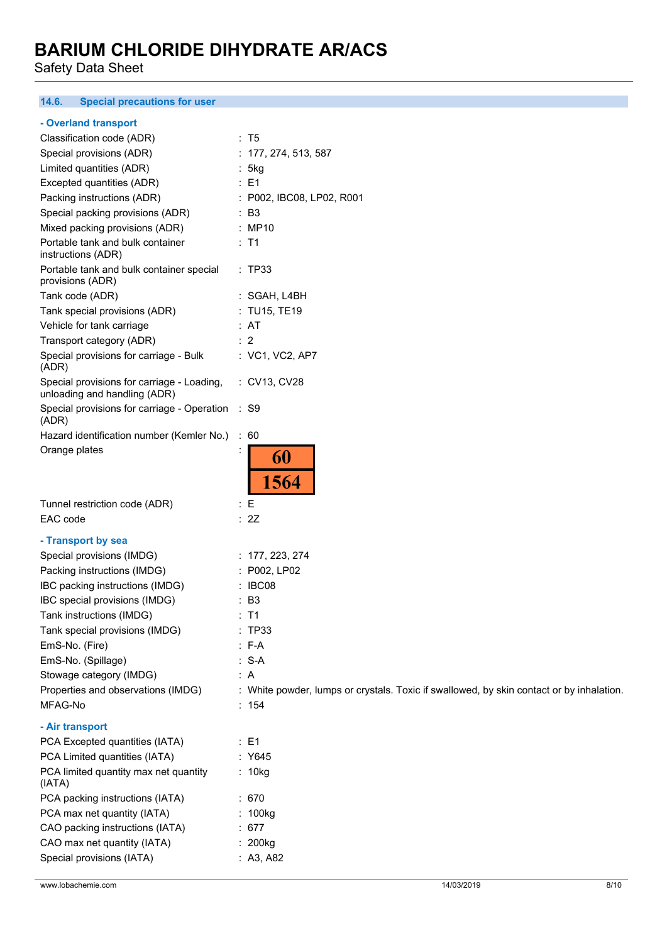Safety Data Sheet

### **14.6. Special precautions for user**

### **- Overland transport**

| Classification code (ADR)                                                  | : T5                                                                                     |
|----------------------------------------------------------------------------|------------------------------------------------------------------------------------------|
| Special provisions (ADR)                                                   | : 177, 274, 513, 587                                                                     |
| Limited quantities (ADR)                                                   | :5kg                                                                                     |
| Excepted quantities (ADR)                                                  | : E1                                                                                     |
| Packing instructions (ADR)                                                 | : P002, IBC08, LP02, R001                                                                |
| Special packing provisions (ADR)                                           | $\therefore$ B3                                                                          |
| Mixed packing provisions (ADR)                                             | : MP10                                                                                   |
| Portable tank and bulk container<br>instructions (ADR)                     | $:$ T1                                                                                   |
| Portable tank and bulk container special<br>provisions (ADR)               | : TP33                                                                                   |
| Tank code (ADR)                                                            | : SGAH, L4BH                                                                             |
| Tank special provisions (ADR)                                              | : TU15, TE19                                                                             |
| Vehicle for tank carriage                                                  | : AT                                                                                     |
| Transport category (ADR)                                                   | : 2                                                                                      |
| Special provisions for carriage - Bulk<br>(ADR)                            | : VC1, VC2, AP7                                                                          |
| Special provisions for carriage - Loading,<br>unloading and handling (ADR) | : CV13, CV28                                                                             |
| Special provisions for carriage - Operation<br>(ADR)                       | $:$ S9                                                                                   |
| Hazard identification number (Kemler No.)                                  | $\therefore 60$                                                                          |
| Orange plates                                                              | 60<br>1564                                                                               |
| Tunnel restriction code (ADR)                                              | $\colon E$                                                                               |
| EAC code                                                                   | : 2Z                                                                                     |
|                                                                            |                                                                                          |
| - Transport by sea                                                         |                                                                                          |
| Special provisions (IMDG)                                                  | : $177, 223, 274$                                                                        |
| Packing instructions (IMDG)                                                | : P002, LP02                                                                             |
| IBC packing instructions (IMDG)                                            | : IBC08                                                                                  |
| IBC special provisions (IMDG)                                              | : B3                                                                                     |
| Tank instructions (IMDG)                                                   | $:$ T1                                                                                   |
| Tank special provisions (IMDG)                                             | : TP33                                                                                   |
| EmS-No. (Fire)                                                             | $: F-A$                                                                                  |
| EmS-No. (Spillage)                                                         |                                                                                          |
|                                                                            | $: S-A$                                                                                  |
| Stowage category (IMDG)                                                    | : A                                                                                      |
| Properties and observations (IMDG)                                         | : White powder, lumps or crystals. Toxic if swallowed, by skin contact or by inhalation. |
| MFAG-No                                                                    | : 154                                                                                    |
| - Air transport                                                            |                                                                                          |
| PCA Excepted quantities (IATA)                                             | $\therefore$ E1                                                                          |
| PCA Limited quantities (IATA)                                              | : Y645                                                                                   |
| PCA limited quantity max net quantity<br>(IATA)                            | : 10kg                                                                                   |
| PCA packing instructions (IATA)                                            | : 670                                                                                    |
| PCA max net quantity (IATA)                                                | : 100kg                                                                                  |
| CAO packing instructions (IATA)                                            | : 677                                                                                    |
| CAO max net quantity (IATA)                                                | : 200kg                                                                                  |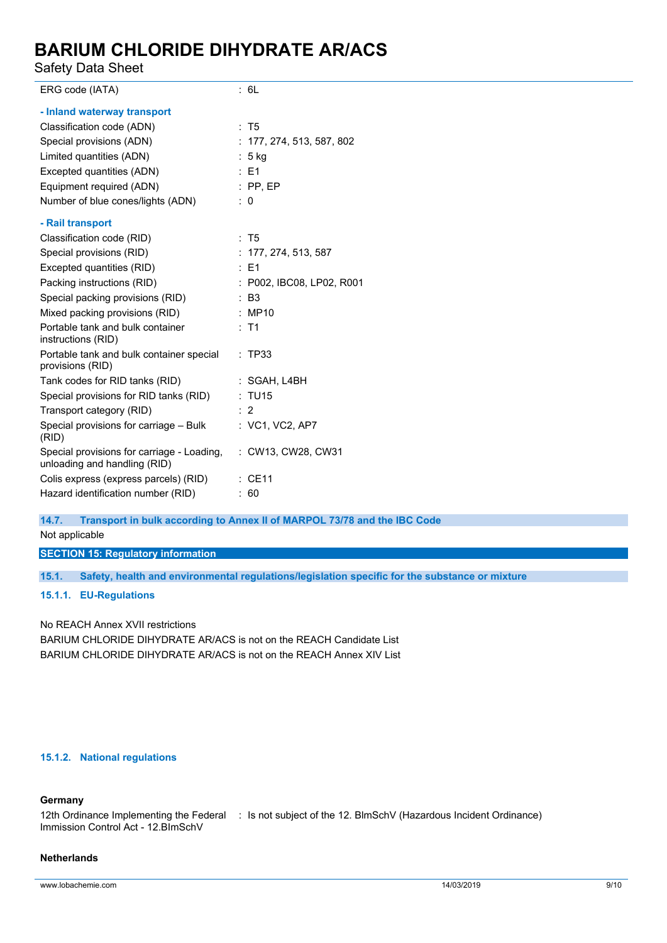Safety Data Sheet

| ERG code (IATA)                                                            | : 6L                        |
|----------------------------------------------------------------------------|-----------------------------|
|                                                                            |                             |
| - Inland waterway transport                                                |                             |
| Classification code (ADN)                                                  | : T5                        |
| Special provisions (ADN)                                                   | : $177, 274, 513, 587, 802$ |
| Limited quantities (ADN)                                                   | $: 5$ kg                    |
| Excepted quantities (ADN)                                                  | $\therefore$ E1             |
| Equipment required (ADN)                                                   | $:$ PP, EP                  |
| Number of blue cones/lights (ADN)                                          | $\therefore$ 0              |
| - Rail transport                                                           |                             |
| Classification code (RID)                                                  | : T5                        |
| Special provisions (RID)                                                   | : 177, 274, 513, 587        |
| Excepted quantities (RID)                                                  | $\therefore$ E1             |
| Packing instructions (RID)                                                 | : P002, IBC08, LP02, R001   |
| Special packing provisions (RID)                                           | : B3                        |
| Mixed packing provisions (RID)                                             | : MP10                      |
| Portable tank and bulk container<br>instructions (RID)                     | $:$ T1                      |
| Portable tank and bulk container special<br>provisions (RID)               | : TP33                      |
| Tank codes for RID tanks (RID)                                             | : SGAH, L4BH                |
| Special provisions for RID tanks (RID)                                     | : TU15                      |
| Transport category (RID)                                                   | $\therefore$ 2              |
| Special provisions for carriage - Bulk<br>(RID)                            | : VC1, VC2, AP7             |
| Special provisions for carriage - Loading,<br>unloading and handling (RID) | : CW13, CW28, CW31          |
| Colis express (express parcels) (RID)                                      | $\therefore$ CE11           |
| Hazard identification number (RID)                                         | : 60                        |

**14.7. Transport in bulk according to Annex II of MARPOL 73/78 and the IBC Code**

Not applicable

**SECTION 15: Regulatory information**

**15.1. Safety, health and environmental regulations/legislation specific for the substance or mixture**

**15.1.1. EU-Regulations**

No REACH Annex XVII restrictions BARIUM CHLORIDE DIHYDRATE AR/ACS is not on the REACH Candidate List BARIUM CHLORIDE DIHYDRATE AR/ACS is not on the REACH Annex XIV List

### **15.1.2. National regulations**

### **Germany**

12th Ordinance Implementing the Federal : Is not subject of the 12. BlmSchV (Hazardous Incident Ordinance) Immission Control Act - 12.BImSchV

#### **Netherlands**